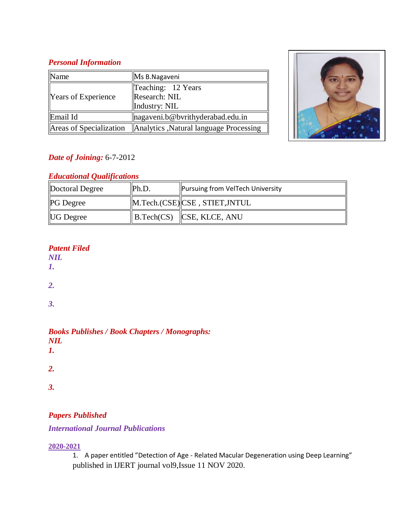#### *Personal Information*

| Name                       | Ms B.Nagaveni                                        |  |
|----------------------------|------------------------------------------------------|--|
| <b>Years of Experience</b> | Teaching: 12 Years<br>Research: NIL<br>Industry: NIL |  |
| Email Id                   | nagaveni.b@bvrithyderabad.edu.in                     |  |
| Areas of Specialization    | Analytics , Natural language Processing              |  |



## *Date of Joining:* 6-7-2012

## *Educational Qualifications*

| Doctoral Degree  | Ph.D. | <b>Pursuing from VelTech University</b>           |
|------------------|-------|---------------------------------------------------|
| <b>PG</b> Degree |       | M.Tech.(CSE) CSE, STIET, JNTUL                    |
| <b>UG</b> Degree |       | $\parallel$ B.Tech(CS) $\parallel$ CSE, KLCE, ANU |

### *Patent Filed*

*NIL*

*1.*

*2.*

*3.*

#### *Books Publishes / Book Chapters / Monographs: NIL 1.*

*2.*

*3.*

# *Papers Published*

### *International Journal Publications*

#### **2020-2021**

1. A paper entitled "Detection of Age - Related Macular Degeneration using Deep Learning" published in IJERT journal vol9,Issue 11 NOV 2020.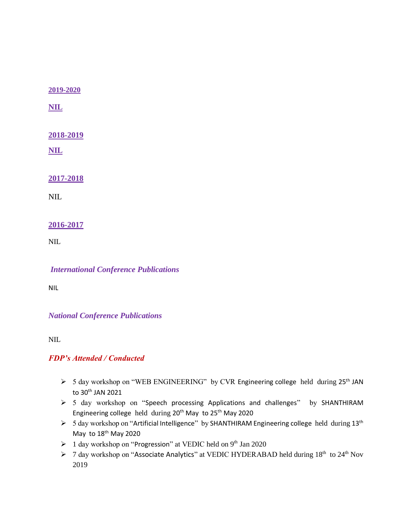**2019-2020**

**NIL**

**2018-2019**

**NIL**

**2017-2018**

NIL

#### **2016-2017**

NIL

*International Conference Publications*

NIL

*National Conference Publications*

NIL

#### *FDP's Attended / Conducted*

- $>$  5 day workshop on "WEB ENGINEERING" by CVR Engineering college held during 25<sup>th</sup> JAN to 30th JAN 2021
- > 5 day workshop on "Speech processing Applications and challenges" by SHANTHIRAM Engineering college held during 20<sup>th</sup> May to 25<sup>th</sup> May 2020
- > 5 day workshop on "Artificial Intelligence" by SHANTHIRAM Engineering college held during 13<sup>th</sup> May to 18<sup>th</sup> May 2020
- $\geq 1$  day workshop on "Progression" at VEDIC held on 9<sup>th</sup> Jan 2020
- > 7 day workshop on "Associate Analytics" at VEDIC HYDERABAD held during 18<sup>th</sup> to 24<sup>th</sup> Nov 2019